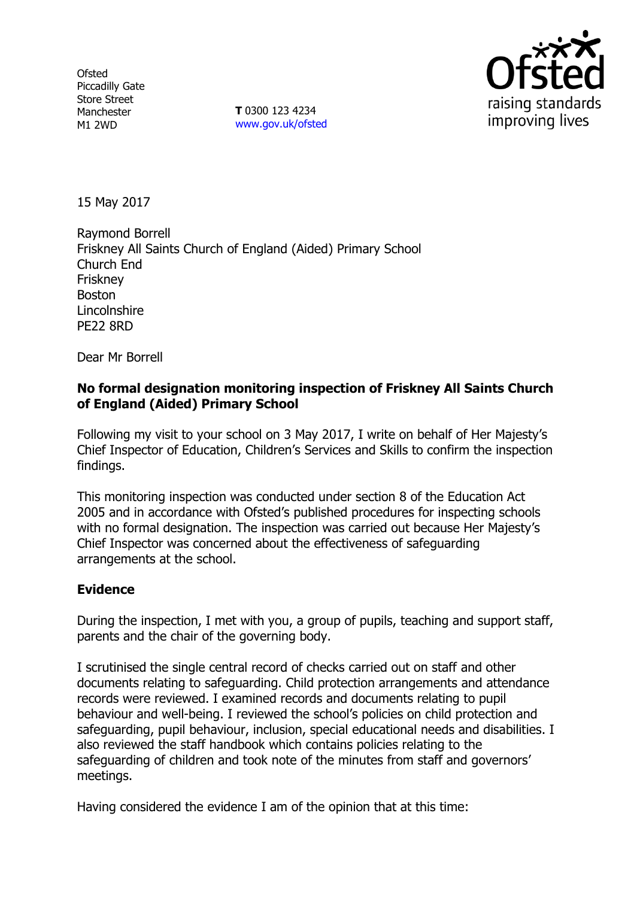**Ofsted** Piccadilly Gate Store Street Manchester M1 2WD

**T** 0300 123 4234 www.gov.uk/ofsted



15 May 2017

Raymond Borrell Friskney All Saints Church of England (Aided) Primary School Church End Friskney Boston **Lincolnshire** PE22 8RD

Dear Mr Borrell

# **No formal designation monitoring inspection of Friskney All Saints Church of England (Aided) Primary School**

Following my visit to your school on 3 May 2017, I write on behalf of Her Majesty's Chief Inspector of Education, Children's Services and Skills to confirm the inspection findings.

This monitoring inspection was conducted under section 8 of the Education Act 2005 and in accordance with Ofsted's published procedures for inspecting schools with no formal designation. The inspection was carried out because Her Majesty's Chief Inspector was concerned about the effectiveness of safeguarding arrangements at the school.

## **Evidence**

During the inspection, I met with you, a group of pupils, teaching and support staff, parents and the chair of the governing body.

I scrutinised the single central record of checks carried out on staff and other documents relating to safeguarding. Child protection arrangements and attendance records were reviewed. I examined records and documents relating to pupil behaviour and well-being. I reviewed the school's policies on child protection and safeguarding, pupil behaviour, inclusion, special educational needs and disabilities. I also reviewed the staff handbook which contains policies relating to the safeguarding of children and took note of the minutes from staff and governors' meetings.

Having considered the evidence I am of the opinion that at this time: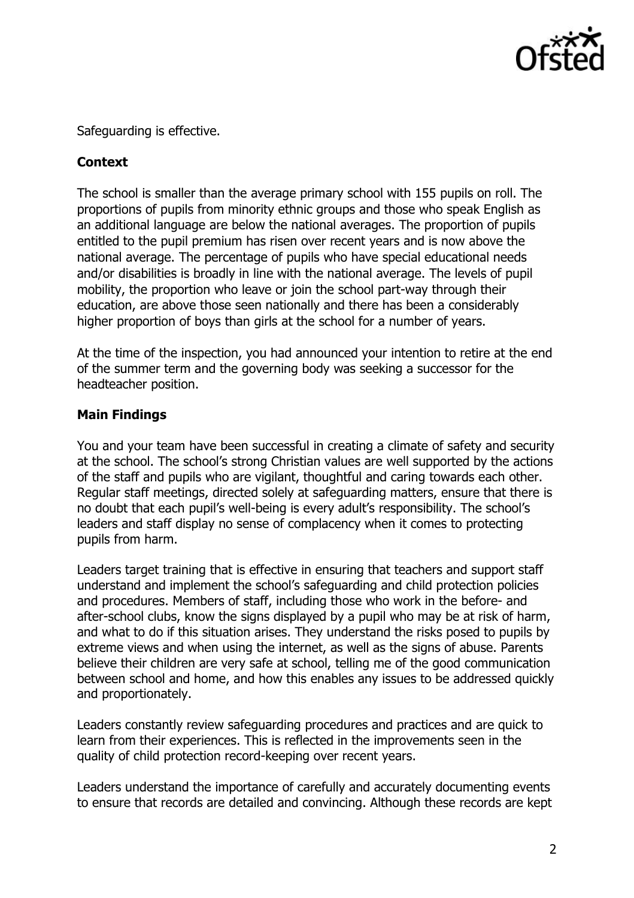

Safeguarding is effective.

# **Context**

The school is smaller than the average primary school with 155 pupils on roll. The proportions of pupils from minority ethnic groups and those who speak English as an additional language are below the national averages. The proportion of pupils entitled to the pupil premium has risen over recent years and is now above the national average. The percentage of pupils who have special educational needs and/or disabilities is broadly in line with the national average. The levels of pupil mobility, the proportion who leave or join the school part-way through their education, are above those seen nationally and there has been a considerably higher proportion of boys than girls at the school for a number of years.

At the time of the inspection, you had announced your intention to retire at the end of the summer term and the governing body was seeking a successor for the headteacher position.

## **Main Findings**

You and your team have been successful in creating a climate of safety and security at the school. The school's strong Christian values are well supported by the actions of the staff and pupils who are vigilant, thoughtful and caring towards each other. Regular staff meetings, directed solely at safeguarding matters, ensure that there is no doubt that each pupil's well-being is every adult's responsibility. The school's leaders and staff display no sense of complacency when it comes to protecting pupils from harm.

Leaders target training that is effective in ensuring that teachers and support staff understand and implement the school's safeguarding and child protection policies and procedures. Members of staff, including those who work in the before- and after-school clubs, know the signs displayed by a pupil who may be at risk of harm, and what to do if this situation arises. They understand the risks posed to pupils by extreme views and when using the internet, as well as the signs of abuse. Parents believe their children are very safe at school, telling me of the good communication between school and home, and how this enables any issues to be addressed quickly and proportionately.

Leaders constantly review safeguarding procedures and practices and are quick to learn from their experiences. This is reflected in the improvements seen in the quality of child protection record-keeping over recent years.

Leaders understand the importance of carefully and accurately documenting events to ensure that records are detailed and convincing. Although these records are kept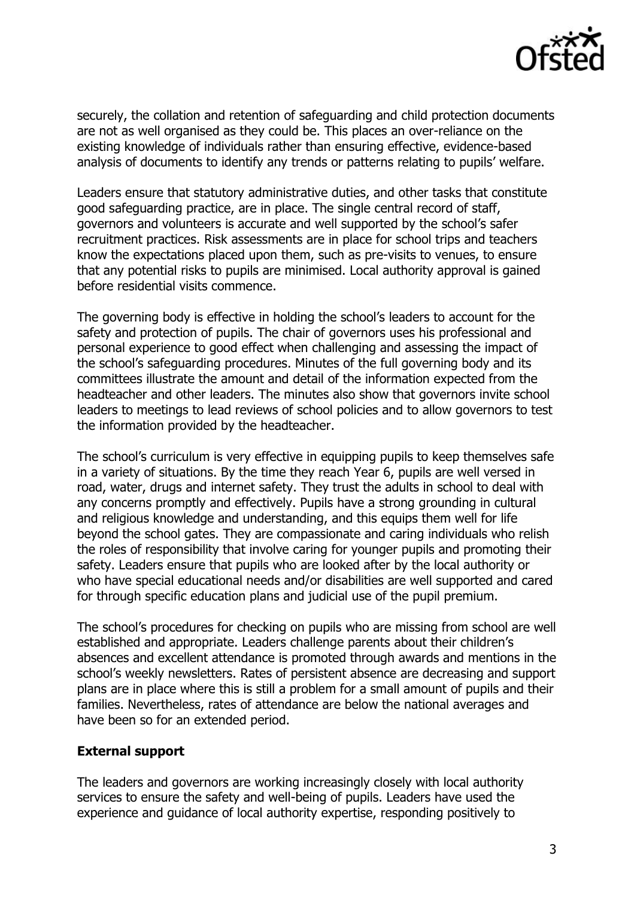

securely, the collation and retention of safeguarding and child protection documents are not as well organised as they could be. This places an over-reliance on the existing knowledge of individuals rather than ensuring effective, evidence-based analysis of documents to identify any trends or patterns relating to pupils' welfare.

Leaders ensure that statutory administrative duties, and other tasks that constitute good safeguarding practice, are in place. The single central record of staff, governors and volunteers is accurate and well supported by the school's safer recruitment practices. Risk assessments are in place for school trips and teachers know the expectations placed upon them, such as pre-visits to venues, to ensure that any potential risks to pupils are minimised. Local authority approval is gained before residential visits commence.

The governing body is effective in holding the school's leaders to account for the safety and protection of pupils. The chair of governors uses his professional and personal experience to good effect when challenging and assessing the impact of the school's safeguarding procedures. Minutes of the full governing body and its committees illustrate the amount and detail of the information expected from the headteacher and other leaders. The minutes also show that governors invite school leaders to meetings to lead reviews of school policies and to allow governors to test the information provided by the headteacher.

The school's curriculum is very effective in equipping pupils to keep themselves safe in a variety of situations. By the time they reach Year 6, pupils are well versed in road, water, drugs and internet safety. They trust the adults in school to deal with any concerns promptly and effectively. Pupils have a strong grounding in cultural and religious knowledge and understanding, and this equips them well for life beyond the school gates. They are compassionate and caring individuals who relish the roles of responsibility that involve caring for younger pupils and promoting their safety. Leaders ensure that pupils who are looked after by the local authority or who have special educational needs and/or disabilities are well supported and cared for through specific education plans and judicial use of the pupil premium.

The school's procedures for checking on pupils who are missing from school are well established and appropriate. Leaders challenge parents about their children's absences and excellent attendance is promoted through awards and mentions in the school's weekly newsletters. Rates of persistent absence are decreasing and support plans are in place where this is still a problem for a small amount of pupils and their families. Nevertheless, rates of attendance are below the national averages and have been so for an extended period.

## **External support**

The leaders and governors are working increasingly closely with local authority services to ensure the safety and well-being of pupils. Leaders have used the experience and guidance of local authority expertise, responding positively to